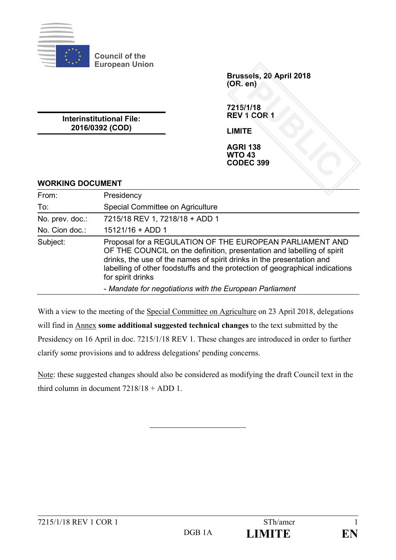

**Council of the European Union**

> **Brussels, 20 April 2018 (OR. en)**

**7215/1/18 REV 1 COR 1**

**LIMITE**

**AGRI 138 WTO 43 CODEC 399** PUBLIC<br>1/18<br>**E**<br>E<br>138<br>43<br>EC 399

## **Interinstitutional File: 2016/0392 (COD)**

| <b>WORKING DOCUMENT</b> |  |
|-------------------------|--|
|                         |  |

| From:           | Presidency                                                                                                                                                                                                                                                                                                       |
|-----------------|------------------------------------------------------------------------------------------------------------------------------------------------------------------------------------------------------------------------------------------------------------------------------------------------------------------|
| To:             | Special Committee on Agriculture                                                                                                                                                                                                                                                                                 |
| No. prev. doc.: | 7215/18 REV 1, 7218/18 + ADD 1                                                                                                                                                                                                                                                                                   |
| No. Cion doc.:  | $15121/16 + ADD 1$                                                                                                                                                                                                                                                                                               |
| Subject:        | Proposal for a REGULATION OF THE EUROPEAN PARLIAMENT AND<br>OF THE COUNCIL on the definition, presentation and labelling of spirit<br>drinks, the use of the names of spirit drinks in the presentation and<br>labelling of other foodstuffs and the protection of geographical indications<br>for spirit drinks |
|                 | - Mandate for negotiations with the European Parliament                                                                                                                                                                                                                                                          |

With a view to the meeting of the Special Committee on Agriculture on 23 April 2018, delegations will find in Annex **some additional suggested technical changes** to the text submitted by the Presidency on 16 April in doc. 7215/1/18 REV 1. These changes are introduced in order to further clarify some provisions and to address delegations' pending concerns.

Note: these suggested changes should also be considered as modifying the draft Council text in the third column in document 7218/18 + ADD 1.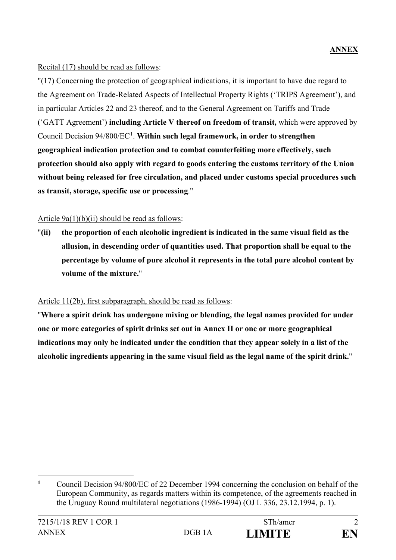## Recital (17) should be read as follows:

"(17) Concerning the protection of geographical indications, it is important to have due regard to the Agreement on Trade-Related Aspects of Intellectual Property Rights ('TRIPS Agreement'), and in particular Articles 22 and 23 thereof, and to the General Agreement on Tariffs and Trade ('GATT Agreement') **including Article V thereof on freedom of transit,** which were approved by Council Decision 94/800/EC<sup>[1](#page-1-0)</sup>. Within such legal framework, in order to strengthen **geographical indication protection and to combat counterfeiting more effectively, such protection should also apply with regard to goods entering the customs territory of the Union without being released for free circulation, and placed under customs special procedures such as transit, storage, specific use or processing**."

### Article  $9a(1)(b)(ii)$  should be read as follows:

"**(ii) the proportion of each alcoholic ingredient is indicated in the same visual field as the allusion, in descending order of quantities used. That proportion shall be equal to the percentage by volume of pure alcohol it represents in the total pure alcohol content by volume of the mixture.**"

# Article 11(2b), first subparagraph, should be read as follows:

"**Where a spirit drink has undergone mixing or blending, the legal names provided for under one or more categories of spirit drinks set out in Annex II or one or more geographical indications may only be indicated under the condition that they appear solely in a list of the alcoholic ingredients appearing in the same visual field as the legal name of the spirit drink.**"

 $\overline{a}$ 

<span id="page-1-0"></span>**<sup>1</sup>** Council Decision 94/800/EC of 22 December 1994 concerning the conclusion on behalf of the European Community, as regards matters within its competence, of the agreements reached in the Uruguay Round multilateral negotiations (1986-1994) (OJ L 336, 23.12.1994, p. 1).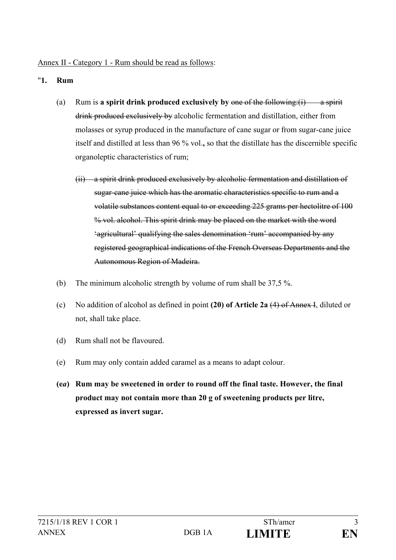### Annex II - Category 1 - Rum should be read as follows:

### "**1. Rum**

- (a) Rum is **a spirit drink produced exclusively by** one of the following: (i) a spirit drink produced exclusively by alcoholic fermentation and distillation, either from molasses or syrup produced in the manufacture of cane sugar or from sugar-cane juice itself and distilled at less than 96 % vol.**,** so that the distillate has the discernible specific organoleptic characteristics of rum;
	- (ii) a spirit drink produced exclusively by alcoholic fermentation and distillation of sugar-cane juice which has the aromatic characteristics specific to rum and a volatile substances content equal to or exceeding 225 grams per hectolitre of 100 % vol. alcohol. This spirit drink may be placed on the market with the word 'agricultural' qualifying the sales denomination 'rum' accompanied by any registered geographical indications of the French Overseas Departments and the Autonomous Region of Madeira.
- (b) The minimum alcoholic strength by volume of rum shall be 37,5 %.
- (c) No addition of alcohol as defined in point **(20) of Article 2a** (4) of Annex I, diluted or not, shall take place.
- (d) Rum shall not be flavoured.
- (e) Rum may only contain added caramel as a means to adapt colour.
- **(e***a***) Rum may be sweetened in order to round off the final taste. However, the final product may not contain more than 20 g of sweetening products per litre, expressed as invert sugar.**